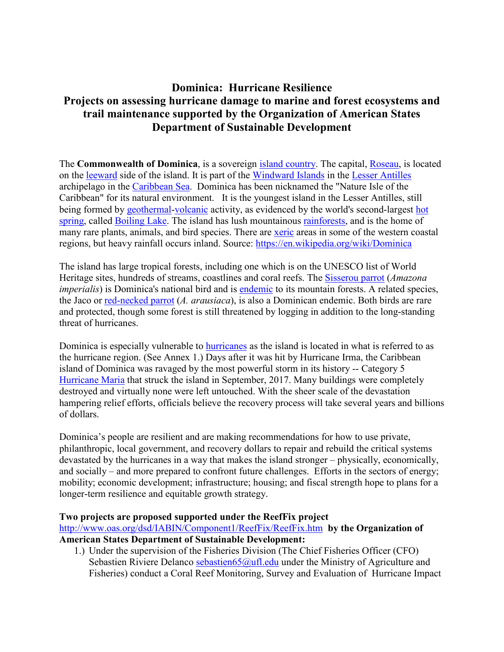# **Dominica: Hurricane Resilience Projects on assessing hurricane damage to marine and forest ecosystems and trail maintenance supported by the Organization of American States Department of Sustainable Development**

The **Commonwealth of Dominica**, is a sovereign [island country.](https://en.wikipedia.org/wiki/Island_country) The capital, [Roseau,](https://en.wikipedia.org/wiki/Roseau) is located on the [leeward](https://en.wikipedia.org/wiki/Leeward) side of the island. It is part of the [Windward Islands](https://en.wikipedia.org/wiki/Windward_Islands) in the [Lesser Antilles](https://en.wikipedia.org/wiki/Lesser_Antilles) archipelago in the [Caribbean Sea.](https://en.wikipedia.org/wiki/Caribbean_Sea) Dominica has been nicknamed the "Nature Isle of the Caribbean" for its natural environment. It is the youngest island in the Lesser Antilles, still being formed by [geothermal-](https://en.wikipedia.org/wiki/Geothermal_(geology))[volcanic](https://en.wikipedia.org/wiki/Volcano) activity, as evidenced by the world's second-largest hot [spring,](https://en.wikipedia.org/wiki/Hot_spring) called [Boiling Lake.](https://en.wikipedia.org/wiki/Boiling_Lake) The island has lush mountainous [rainforests,](https://en.wikipedia.org/wiki/Rainforests) and is the home of many rare plants, animals, and bird species. There are [xeric](https://en.wikipedia.org/wiki/Xeric) areas in some of the western coastal regions, but heavy rainfall occurs inland. Source:<https://en.wikipedia.org/wiki/Dominica>

The island has large tropical forests, including one which is on the UNESCO list of World Heritage sites, hundreds of streams, coastlines and coral reefs. The [Sisserou parrot](https://en.wikipedia.org/wiki/Imperial_amazon) (*Amazona imperialis*) is Dominica's national bird and is [endemic](https://en.wikipedia.org/wiki/Endemism) to its mountain forests. A related species, the Jaco or [red-necked parrot](https://en.wikipedia.org/wiki/Red-necked_parrot) (*A. arausiaca*), is also a Dominican endemic. Both birds are rare and protected, though some forest is still threatened by logging in addition to the long-standing threat of hurricanes.

Dominica is especially vulnerable to [hurricanes](https://en.wikipedia.org/wiki/Hurricane) as the island is located in what is referred to as the hurricane region. (See Annex 1.) Days after it was hit by Hurricane Irma, the Caribbean island of Dominica was ravaged by the most powerful storm in its history -- Category 5 [Hurricane Maria](https://en.wikipedia.org/wiki/Hurricane_Maria) that struck the island in September, 2017. Many buildings were completely destroyed and virtually none were left untouched. With the sheer scale of the devastation hampering relief efforts, officials believe the recovery process will take several years and billions of dollars.

Dominica's people are resilient and are making recommendations for how to use private, philanthropic, local government, and recovery dollars to repair and rebuild the critical systems devastated by the hurricanes in a way that makes the island stronger – physically, economically, and socially – and more prepared to confront future challenges. Efforts in the sectors of energy; mobility; economic development; infrastructure; housing; and fiscal strength hope to plans for a longer-term resilience and equitable growth strategy.

#### **Two projects are proposed supported under the ReefFix project**

<http://www.oas.org/dsd/IABIN/Component1/ReefFix/ReefFix.htm>**by the Organization of American States Department of Sustainable Development:** 

1.) Under the supervision of the Fisheries Division (The Chief Fisheries Officer (CFO) Sebastien Riviere Delanco sebastien 65@ufl.edu under the Ministry of Agriculture and Fisheries) conduct a Coral Reef Monitoring, Survey and Evaluation of Hurricane Impact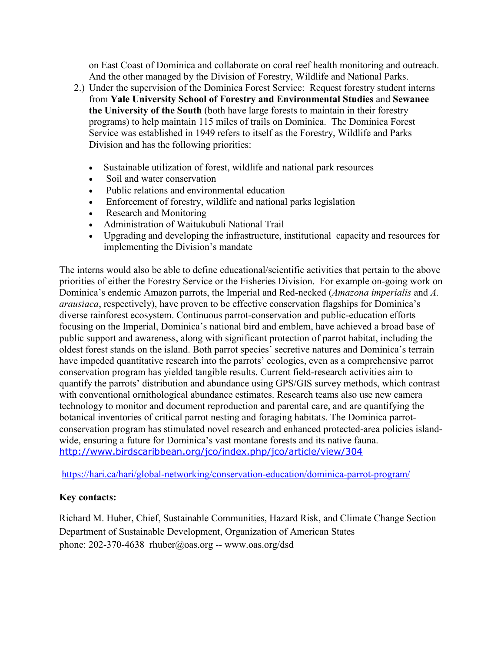on East Coast of Dominica and collaborate on coral reef health monitoring and outreach. And the other managed by the Division of Forestry, Wildlife and National Parks.

- 2.) Under the supervision of the Dominica Forest Service: Request forestry student interns from **Yale University School of Forestry and Environmental Studies** and **Sewanee the University of the South** (both have large forests to maintain in their forestry programs) to help maintain 115 miles of trails on Dominica. The Dominica Forest Service was established in 1949 refers to itself as the Forestry, Wildlife and Parks Division and has the following priorities:
	- Sustainable utilization of forest, wildlife and national park resources
	- Soil and water conservation
	- Public relations and environmental education
	- Enforcement of forestry, wildlife and national parks legislation
	- Research and Monitoring
	- Administration of Waitukubuli National Trail
	- Upgrading and developing the infrastructure, institutional capacity and resources for implementing the Division's mandate

The interns would also be able to define educational/scientific activities that pertain to the above priorities of either the Forestry Service or the Fisheries Division. For example on-going work on Dominica's endemic Amazon parrots, the Imperial and Red-necked (*Amazona imperialis* and *A. arausiaca*, respectively), have proven to be effective conservation flagships for Dominica's diverse rainforest ecosystem. Continuous parrot-conservation and public-education efforts focusing on the Imperial, Dominica's national bird and emblem, have achieved a broad base of public support and awareness, along with significant protection of parrot habitat, including the oldest forest stands on the island. Both parrot species' secretive natures and Dominica's terrain have impeded quantitative research into the parrots' ecologies, even as a comprehensive parrot conservation program has yielded tangible results. Current field-research activities aim to quantify the parrots' distribution and abundance using GPS/GIS survey methods, which contrast with conventional ornithological abundance estimates. Research teams also use new camera technology to monitor and document reproduction and parental care, and are quantifying the botanical inventories of critical parrot nesting and foraging habitats. The Dominica parrotconservation program has stimulated novel research and enhanced protected-area policies islandwide, ensuring a future for Dominica's vast montane forests and its native fauna. <http://www.birdscaribbean.org/jco/index.php/jco/article/view/304>

<https://hari.ca/hari/global-networking/conservation-education/dominica-parrot-program/>

### **Key contacts:**

Richard M. Huber, Chief, Sustainable Communities, Hazard Risk, and Climate Change Section Department of Sustainable Development, Organization of American States phone: 202-370-4638 [rhuber@oas.org](blocked::blocked::mailto:rhuber@oas.org) -- [www.oas.org/dsd](http://www.oas.org/dsd)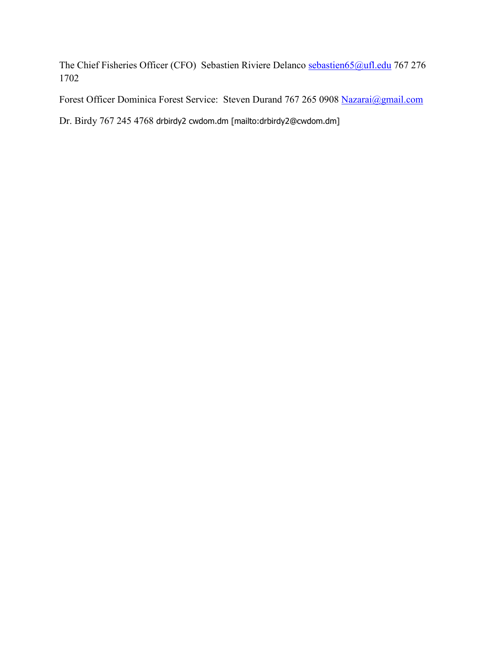The Chief Fisheries Officer (CFO) Sebastien Riviere Delanco [sebastien65@ufl.edu](mailto:sebastien65@ufl.edu) 767 276 1702

Forest Officer Dominica Forest Service: Steven Durand 767 265 0908 [Nazarai@gmail.com](mailto:Nazarai@gmail.com)

Dr. Birdy 767 245 4768 drbirdy2 cwdom.dm [mailto:drbirdy2@cwdom.dm]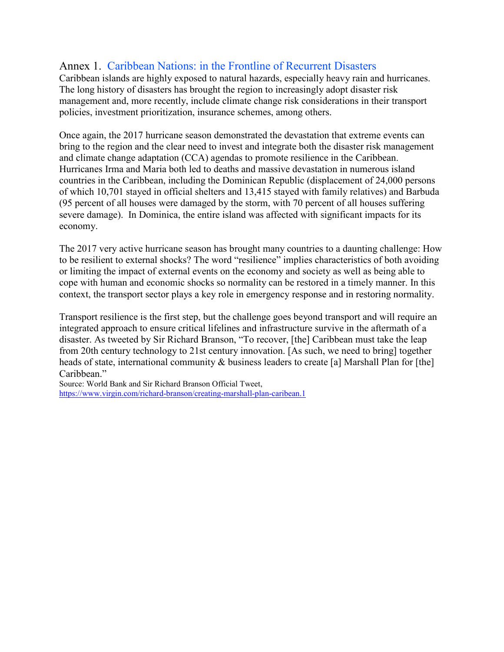## Annex 1. Caribbean Nations: in the Frontline of Recurrent Disasters

Caribbean islands are highly exposed to natural hazards, especially heavy rain and hurricanes. The long history of disasters has brought the region to increasingly adopt disaster risk management and, more recently, include climate change risk considerations in their transport policies, investment prioritization, insurance schemes, among others.

Once again, the 2017 hurricane season demonstrated the devastation that extreme events can bring to the region and the clear need to invest and integrate both the disaster risk management and climate change adaptation (CCA) agendas to promote resilience in the Caribbean. Hurricanes Irma and Maria both led to deaths and massive devastation in numerous island countries in the Caribbean, including the Dominican Republic (displacement of 24,000 persons of which 10,701 stayed in official shelters and 13,415 stayed with family relatives) and Barbuda (95 percent of all houses were damaged by the storm, with 70 percent of all houses suffering severe damage). In Dominica, the entire island was affected with significant impacts for its economy.

The 2017 very active hurricane season has brought many countries to a daunting challenge: How to be resilient to external shocks? The word "resilience" implies characteristics of both avoiding or limiting the impact of external events on the economy and society as well as being able to cope with human and economic shocks so normality can be restored in a timely manner. In this context, the transport sector plays a key role in emergency response and in restoring normality.

Transport resilience is the first step, but the challenge goes beyond transport and will require an integrated approach to ensure critical lifelines and infrastructure survive in the aftermath of a disaster. As tweeted by Sir Richard Branson, "To recover, [the] Caribbean must take the leap from 20th century technology to 21st century innovation. [As such, we need to bring] together heads of state, international community & business leaders to create [a] Marshall Plan for [the] Caribbean."

Source: World Bank and Sir Richard Branson Official Tweet, <https://www.virgin.com/richard-branson/creating-marshall-plan-caribean.1>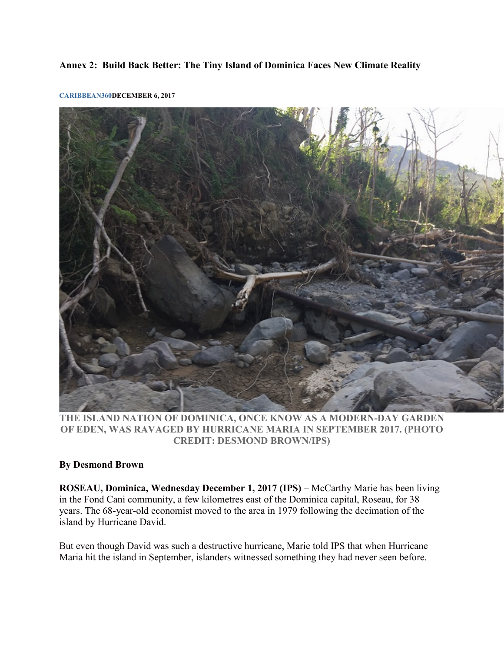#### **Annex 2: Build Back Better: The Tiny Island of Dominica Faces New Climate Reality**



**[CARIBBEAN360D](http://www.caribbean360.com/author/c360_admin/)ECEMBER 6, 2017**

**THE ISLAND NATION OF DOMINICA, ONCE KNOW AS A MODERN-DAY GARDEN OF EDEN, WAS RAVAGED BY HURRICANE MARIA IN SEPTEMBER 2017. (PHOTO CREDIT: DESMOND BROWN/IPS)**

### **By Desmond Brown**

**ROSEAU, Dominica, Wednesday December 1, 2017 (IPS)** – McCarthy Marie has been living in the Fond Cani community, a few kilometres east of the Dominica capital, Roseau, for 38 years. The 68-year-old economist moved to the area in 1979 following the decimation of the island by Hurricane David.

But even though David was such a destructive hurricane, Marie told IPS that when Hurricane Maria hit the island in September, islanders witnessed something they had never seen before.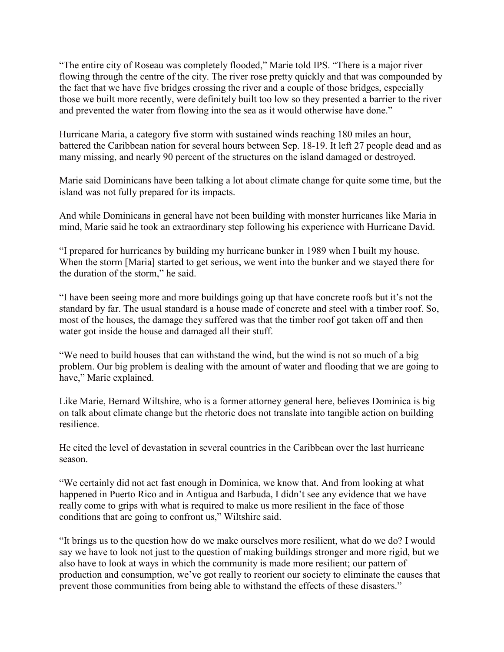"The entire city of Roseau was completely flooded," Marie told IPS. "There is a major river flowing through the centre of the city. The river rose pretty quickly and that was compounded by the fact that we have five bridges crossing the river and a couple of those bridges, especially those we built more recently, were definitely built too low so they presented a barrier to the river and prevented the water from flowing into the sea as it would otherwise have done."

Hurricane Maria, a category five storm with sustained winds reaching 180 miles an hour, battered the Caribbean nation for several hours between Sep. 18-19. It left 27 people dead and as many missing, and nearly 90 percent of the structures on the island damaged or destroyed.

Marie said Dominicans have been talking a lot about climate change for quite some time, but the island was not fully prepared for its impacts.

And while Dominicans in general have not been building with monster hurricanes like Maria in mind, Marie said he took an extraordinary step following his experience with Hurricane David.

"I prepared for hurricanes by building my hurricane bunker in 1989 when I built my house. When the storm [Maria] started to get serious, we went into the bunker and we stayed there for the duration of the storm," he said.

"I have been seeing more and more buildings going up that have concrete roofs but it's not the standard by far. The usual standard is a house made of concrete and steel with a timber roof. So, most of the houses, the damage they suffered was that the timber roof got taken off and then water got inside the house and damaged all their stuff.

"We need to build houses that can withstand the wind, but the wind is not so much of a big problem. Our big problem is dealing with the amount of water and flooding that we are going to have," Marie explained.

Like Marie, Bernard Wiltshire, who is a former attorney general here, believes Dominica is big on talk about climate change but the rhetoric does not translate into tangible action on building resilience.

He cited the level of devastation in several countries in the Caribbean over the last hurricane season.

"We certainly did not act fast enough in Dominica, we know that. And from looking at what happened in Puerto Rico and in Antigua and Barbuda, I didn't see any evidence that we have really come to grips with what is required to make us more resilient in the face of those conditions that are going to confront us," Wiltshire said.

"It brings us to the question how do we make ourselves more resilient, what do we do? I would say we have to look not just to the question of making buildings stronger and more rigid, but we also have to look at ways in which the community is made more resilient; our pattern of production and consumption, we've got really to reorient our society to eliminate the causes that prevent those communities from being able to withstand the effects of these disasters."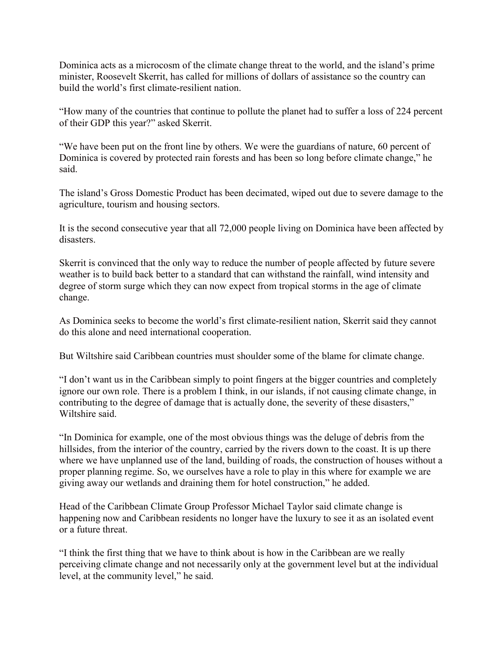Dominica acts as a microcosm of the climate change threat to the world, and the island's prime minister, Roosevelt Skerrit, has called for millions of dollars of assistance so the country can build the world's first climate-resilient nation.

"How many of the countries that continue to pollute the planet had to suffer a loss of 224 percent of their GDP this year?" asked Skerrit.

"We have been put on the front line by others. We were the guardians of nature, 60 percent of Dominica is covered by protected rain forests and has been so long before climate change," he said.

The island's Gross Domestic Product has been decimated, wiped out due to severe damage to the agriculture, tourism and housing sectors.

It is the second consecutive year that all 72,000 people living on Dominica have been affected by disasters.

Skerrit is convinced that the only way to reduce the number of people affected by future severe weather is to build back better to a standard that can withstand the rainfall, wind intensity and degree of storm surge which they can now expect from tropical storms in the age of climate change.

As Dominica seeks to become the world's first climate-resilient nation, Skerrit said they cannot do this alone and need international cooperation.

But Wiltshire said Caribbean countries must shoulder some of the blame for climate change.

"I don't want us in the Caribbean simply to point fingers at the bigger countries and completely ignore our own role. There is a problem I think, in our islands, if not causing climate change, in contributing to the degree of damage that is actually done, the severity of these disasters," Wiltshire said.

"In Dominica for example, one of the most obvious things was the deluge of debris from the hillsides, from the interior of the country, carried by the rivers down to the coast. It is up there where we have unplanned use of the land, building of roads, the construction of houses without a proper planning regime. So, we ourselves have a role to play in this where for example we are giving away our wetlands and draining them for hotel construction," he added.

Head of the Caribbean Climate Group Professor Michael Taylor said climate change is happening now and Caribbean residents no longer have the luxury to see it as an isolated event or a future threat.

"I think the first thing that we have to think about is how in the Caribbean are we really perceiving climate change and not necessarily only at the government level but at the individual level, at the community level," he said.